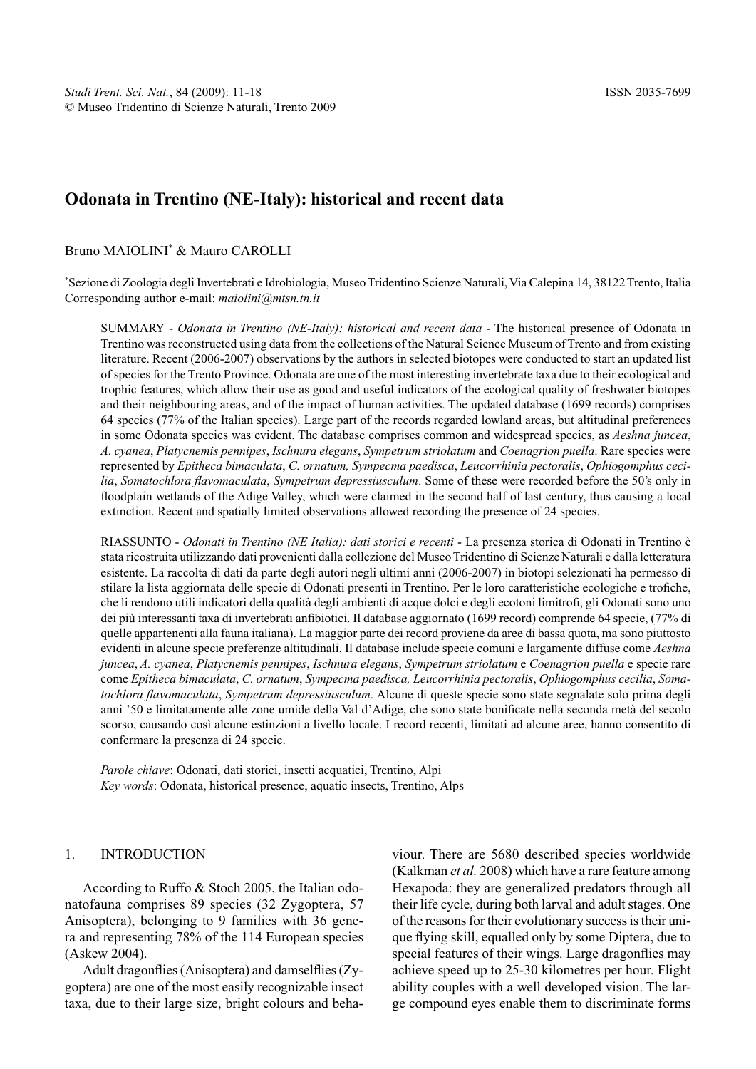# **Odonata in Trentino (NE-Italy): historical and recent data**

Bruno MAIOLINI<sup>\*</sup> & Mauro CAROLLI

\* Sezione di Zoologia degli Invertebrati e Idrobiologia, Museo Tridentino Scienze Naturali, Via Calepina 14, 38122 Trento, Italia Corresponding author e-mail: *maiolini@mtsn.tn.it*

SUMMARY - *Odonata in Trentino (NE-Italy): historical and recent data* - The historical presence of Odonata in Trentino was reconstructed using data from the collections of the Natural Science Museum of Trento and from existing literature. Recent (2006-2007) observations by the authors in selected biotopes were conducted to start an updated list of species for the Trento Province. Odonata are one of the most interesting invertebrate taxa due to their ecological and trophic features, which allow their use as good and useful indicators of the ecological quality of freshwater biotopes and their neighbouring areas, and of the impact of human activities. The updated database (1699 records) comprises 64 species (77% of the Italian species). Large part of the records regarded lowland areas, but altitudinal preferences in some Odonata species was evident. The database comprises common and widespread species, as *Aeshna juncea*, *A. cyanea*, *Platycnemis pennipes*, *Ischnura elegans*, *Sympetrum striolatum* and *Coenagrion puella*. Rare species were represented by *Epitheca bimaculata*, *C. ornatum, Sympecma paedisca*, *Leucorrhinia pectoralis*, *Ophiogomphus cecilia*, *Somatochlora flavomaculata*, *Sympetrum depressiusculum*. Some of these were recorded before the 50's only in floodplain wetlands of the Adige Valley, which were claimed in the second half of last century, thus causing a local extinction. Recent and spatially limited observations allowed recording the presence of 24 species.

RIASSUNTO - *Odonati in Trentino (NE Italia): dati storici e recenti* - La presenza storica di Odonati in Trentino è stata ricostruita utilizzando dati provenienti dalla collezione del Museo Tridentino di Scienze Naturali e dalla letteratura esistente. La raccolta di dati da parte degli autori negli ultimi anni (2006-2007) in biotopi selezionati ha permesso di stilare la lista aggiornata delle specie di Odonati presenti in Trentino. Per le loro caratteristiche ecologiche e trofiche, che li rendono utili indicatori della qualità degli ambienti di acque dolci e degli ecotoni limitrofi, gli Odonati sono uno dei più interessanti taxa di invertebrati anfibiotici. Il database aggiornato (1699 record) comprende 64 specie, (77% di quelle appartenenti alla fauna italiana). La maggior parte dei record proviene da aree di bassa quota, ma sono piuttosto evidenti in alcune specie preferenze altitudinali. Il database include specie comuni e largamente diffuse come *Aeshna juncea*, *A. cyanea*, *Platycnemis pennipes*, *Ischnura elegans*, *Sympetrum striolatum* e *Coenagrion puella* e specie rare come *Epitheca bimaculata*, *C. ornatum*, *Sympecma paedisca, Leucorrhinia pectoralis*, *Ophiogomphus cecilia*, *Somatochlora flavomaculata*, *Sympetrum depressiusculum*. Alcune di queste specie sono state segnalate solo prima degli anni '50 e limitatamente alle zone umide della Val d'Adige, che sono state bonificate nella seconda metà del secolo scorso, causando così alcune estinzioni a livello locale. I record recenti, limitati ad alcune aree, hanno consentito di confermare la presenza di 24 specie.

*Parole chiave*: Odonati, dati storici, insetti acquatici, Trentino, Alpi *Key words*: Odonata, historical presence, aquatic insects, Trentino, Alps

### 1. INTRODUCTION

According to Ruffo & Stoch 2005, the Italian odonatofauna comprises 89 species (32 Zygoptera, 57 Anisoptera), belonging to 9 families with 36 genera and representing 78% of the 114 European species (Askew 2004).

Adult dragonflies (Anisoptera) and damselflies (Zygoptera) are one of the most easily recognizable insect taxa, due to their large size, bright colours and behaviour. There are 5680 described species worldwide (Kalkman *et al.* 2008) which have a rare feature among Hexapoda: they are generalized predators through all their life cycle, during both larval and adult stages. One of the reasons for their evolutionary success is their unique flying skill, equalled only by some Diptera, due to special features of their wings. Large dragonflies may achieve speed up to 25-30 kilometres per hour. Flight ability couples with a well developed vision. The large compound eyes enable them to discriminate forms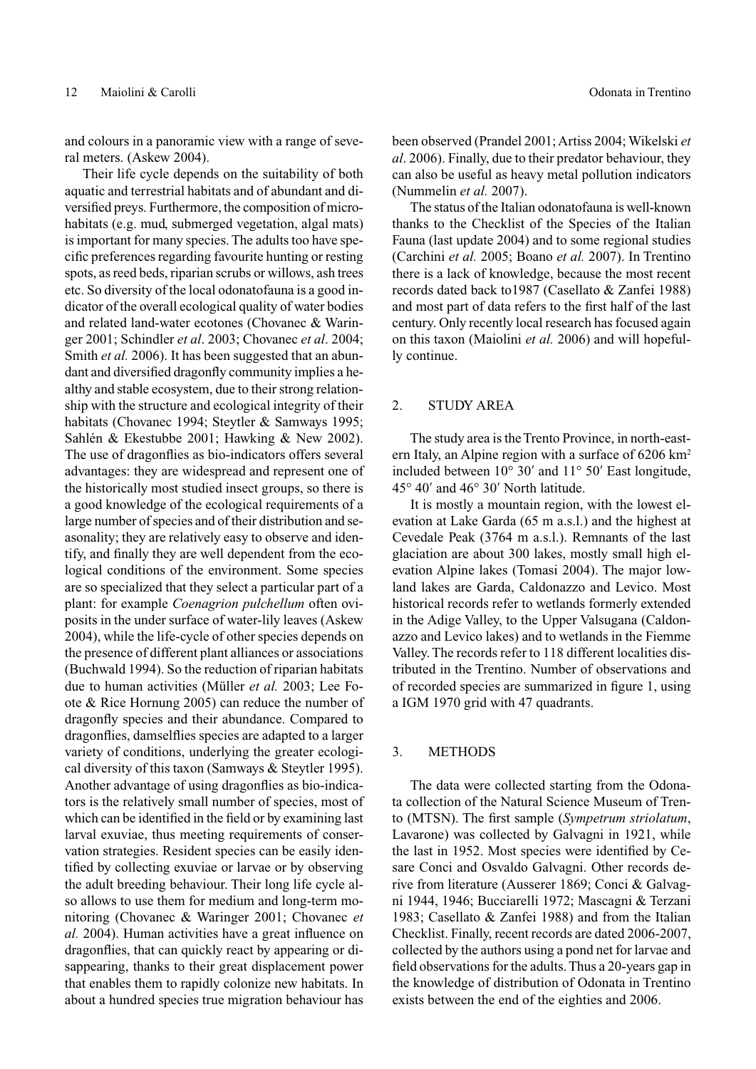and colours in a panoramic view with a range of several meters. (Askew 2004).

Their life cycle depends on the suitability of both aquatic and terrestrial habitats and of abundant and diversified preys. Furthermore, the composition of microhabitats (e.g. mud, submerged vegetation, algal mats) is important for many species. The adults too have specific preferences regarding favourite hunting or resting spots, as reed beds, riparian scrubs or willows, ash trees etc. So diversity of the local odonatofauna is a good indicator of the overall ecological quality of water bodies and related land-water ecotones (Chovanec & Waringer 2001; Schindler *et al*. 2003; Chovanec *et al*. 2004; Smith *et al.* 2006). It has been suggested that an abundant and diversified dragonfly community implies a healthy and stable ecosystem, due to their strong relationship with the structure and ecological integrity of their habitats (Chovanec 1994; Steytler & Samways 1995; Sahlén & Ekestubbe 2001; Hawking & New 2002). The use of dragonflies as bio-indicators offers several advantages: they are widespread and represent one of the historically most studied insect groups, so there is a good knowledge of the ecological requirements of a large number of species and of their distribution and seasonality; they are relatively easy to observe and identify, and finally they are well dependent from the ecological conditions of the environment. Some species are so specialized that they select a particular part of a plant: for example *Coenagrion pulchellum* often oviposits in the under surface of water-lily leaves (Askew 2004), while the life-cycle of other species depends on the presence of different plant alliances or associations (Buchwald 1994). So the reduction of riparian habitats due to human activities (Müller *et al.* 2003; Lee Foote & Rice Hornung 2005) can reduce the number of dragonfly species and their abundance. Compared to dragonflies, damselflies species are adapted to a larger variety of conditions, underlying the greater ecological diversity of this taxon (Samways & Steytler 1995). Another advantage of using dragonflies as bio-indicators is the relatively small number of species, most of which can be identified in the field or by examining last larval exuviae, thus meeting requirements of conservation strategies. Resident species can be easily identified by collecting exuviae or larvae or by observing the adult breeding behaviour. Their long life cycle also allows to use them for medium and long-term monitoring (Chovanec & Waringer 2001; Chovanec *et al.* 2004). Human activities have a great influence on dragonflies, that can quickly react by appearing or disappearing, thanks to their great displacement power that enables them to rapidly colonize new habitats. In about a hundred species true migration behaviour has

been observed (Prandel 2001; Artiss 2004; Wikelski *et al*. 2006). Finally, due to their predator behaviour, they can also be useful as heavy metal pollution indicators (Nummelin *et al.* 2007).

The status of the Italian odonatofauna is well-known thanks to the Checklist of the Species of the Italian Fauna (last update 2004) and to some regional studies (Carchini *et al.* 2005; Boano *et al.* 2007). In Trentino there is a lack of knowledge, because the most recent records dated back to1987 (Casellato & Zanfei 1988) and most part of data refers to the first half of the last century. Only recently local research has focused again on this taxon (Maiolini *et al.* 2006) and will hopefully continue.

### 2. STUDY AREA

The study area is the Trento Province, in north-eastern Italy, an Alpine region with a surface of 6206 km<sup>2</sup> included between 10° 30′ and 11° 50′ East longitude, 45° 40′ and 46° 30′ North latitude.

It is mostly a mountain region, with the lowest elevation at Lake Garda (65 m a.s.l.) and the highest at Cevedale Peak (3764 m a.s.l.). Remnants of the last glaciation are about 300 lakes, mostly small high elevation Alpine lakes (Tomasi 2004). The major lowland lakes are Garda, Caldonazzo and Levico. Most historical records refer to wetlands formerly extended in the Adige Valley, to the Upper Valsugana (Caldonazzo and Levico lakes) and to wetlands in the Fiemme Valley. The records refer to 118 different localities distributed in the Trentino. Number of observations and of recorded species are summarized in figure 1, using a IGM 1970 grid with 47 quadrants.

#### 3. METHODS

The data were collected starting from the Odonata collection of the Natural Science Museum of Trento (MTSN). The first sample (*Sympetrum striolatum*, Lavarone) was collected by Galvagni in 1921, while the last in 1952. Most species were identified by Cesare Conci and Osvaldo Galvagni. Other records derive from literature (Ausserer 1869; Conci & Galvagni 1944, 1946; Bucciarelli 1972; Mascagni & Terzani 1983; Casellato & Zanfei 1988) and from the Italian Checklist. Finally, recent records are dated 2006-2007, collected by the authors using a pond net for larvae and field observations for the adults. Thus a 20-years gap in the knowledge of distribution of Odonata in Trentino exists between the end of the eighties and 2006.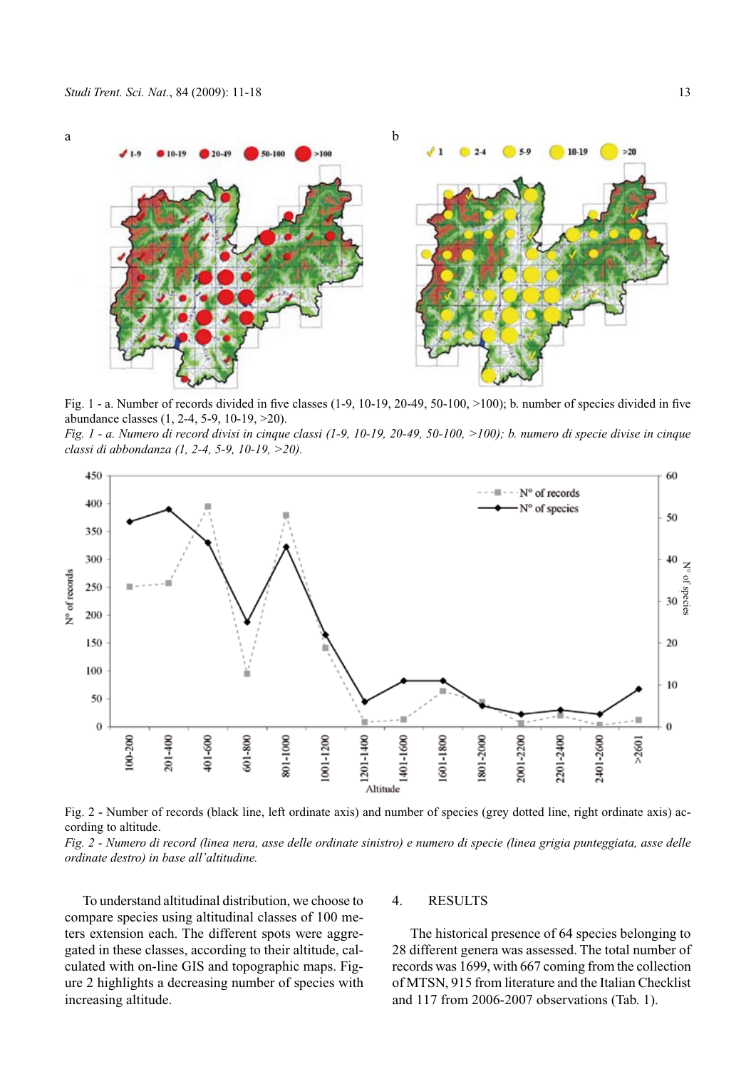

Fig. 1 - a. Number of records divided in five classes (1-9, 10-19, 20-49, 50-100, >100); b. number of species divided in five abundance classes (1, 2-4, 5-9, 10-19, >20).

*Fig. 1 - a. Numero di record divisi in cinque classi (1-9, 10-19, 20-49, 50-100, >100); b. numero di specie divise in cinque classi di abbondanza (1, 2-4, 5-9, 10-19, >20).*



Fig. 2 - Number of records (black line, left ordinate axis) and number of species (grey dotted line, right ordinate axis) according to altitude.

*Fig. 2 - Numero di record (linea nera, asse delle ordinate sinistro) e numero di specie (linea grigia punteggiata, asse delle ordinate destro) in base all'altitudine.*

To understand altitudinal distribution, we choose to compare species using altitudinal classes of 100 meters extension each. The different spots were aggregated in these classes, according to their altitude, calculated with on-line GIS and topographic maps. Figure 2 highlights a decreasing number of species with increasing altitude.

#### 4. RESULTS

The historical presence of 64 species belonging to 28 different genera was assessed. The total number of records was 1699, with 667 coming from the collection of MTSN, 915 from literature and the Italian Checklist and 117 from 2006-2007 observations (Tab. 1).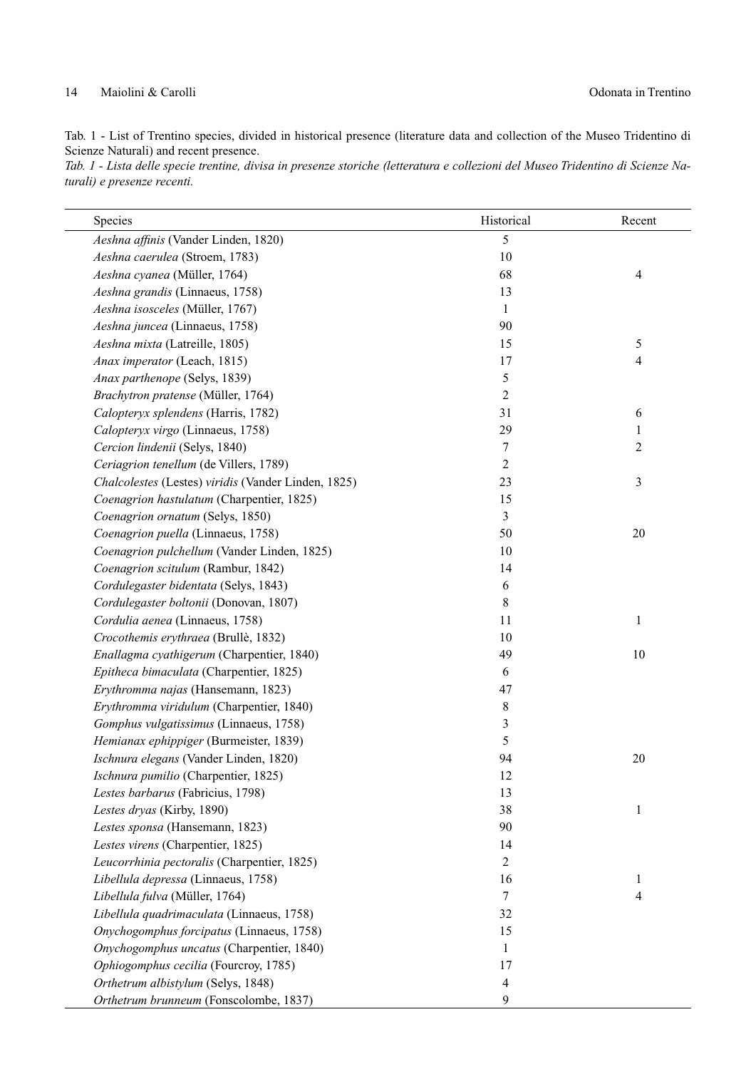# 14 Maiolini & Carolli Odonata in Trentino

Tab. 1 - List of Trentino species, divided in historical presence (literature data and collection of the Museo Tridentino di Scienze Naturali) and recent presence.

*Tab. 1 - Lista delle specie trentine, divisa in presenze storiche (letteratura e collezioni del Museo Tridentino di Scienze Naturali) e presenze recenti.* 

| Species                                             | Historical     | Recent         |
|-----------------------------------------------------|----------------|----------------|
| Aeshna affinis (Vander Linden, 1820)                | 5              |                |
| Aeshna caerulea (Stroem, 1783)                      | $10\,$         |                |
| Aeshna cyanea (Müller, 1764)                        | 68             | $\overline{4}$ |
| Aeshna grandis (Linnaeus, 1758)                     | 13             |                |
| Aeshna isosceles (Müller, 1767)                     | 1              |                |
| Aeshna juncea (Linnaeus, 1758)                      | 90             |                |
| Aeshna mixta (Latreille, 1805)                      | 15             | 5              |
| Anax imperator (Leach, 1815)                        | 17             | 4              |
| Anax parthenope (Selys, 1839)                       | 5              |                |
| Brachytron pratense (Müller, 1764)                  | $\overline{c}$ |                |
| Calopteryx splendens (Harris, 1782)                 | 31             | 6              |
| Calopteryx virgo (Linnaeus, 1758)                   | 29             | 1              |
| Cercion lindenii (Selys, 1840)                      | 7              | $\overline{c}$ |
| Ceriagrion tenellum (de Villers, 1789)              | $\overline{2}$ |                |
| Chalcolestes (Lestes) viridis (Vander Linden, 1825) | 23             | 3              |
| Coenagrion hastulatum (Charpentier, 1825)           | 15             |                |
| Coenagrion ornatum (Selys, 1850)                    | 3              |                |
| Coenagrion puella (Linnaeus, 1758)                  | 50             | 20             |
| Coenagrion pulchellum (Vander Linden, 1825)         | 10             |                |
| Coenagrion scitulum (Rambur, 1842)                  | 14             |                |
| Cordulegaster bidentata (Selys, 1843)               | 6              |                |
| Cordulegaster boltonii (Donovan, 1807)              | 8              |                |
| Cordulia aenea (Linnaeus, 1758)                     | 11             | 1              |
| Crocothemis erythraea (Brullè, 1832)                | 10             |                |
| Enallagma cyathigerum (Charpentier, 1840)           | 49             | 10             |
| Epitheca bimaculata (Charpentier, 1825)             | 6              |                |
| Erythromma najas (Hansemann, 1823)                  | 47             |                |
| Erythromma viridulum (Charpentier, 1840)            | 8              |                |
| Gomphus vulgatissimus (Linnaeus, 1758)              | 3              |                |
| Hemianax ephippiger (Burmeister, 1839)              | 5              |                |
| Ischnura elegans (Vander Linden, 1820)              | 94             | 20             |
| Ischnura pumilio (Charpentier, 1825)                | 12             |                |
| Lestes barbarus (Fabricius, 1798)                   | 13             |                |
| Lestes dryas (Kirby, 1890)                          | 38             | $\mathbf{1}$   |
| Lestes sponsa (Hansemann, 1823)                     | 90             |                |
| Lestes virens (Charpentier, 1825)                   | 14             |                |
| Leucorrhinia pectoralis (Charpentier, 1825)         | 2              |                |
| Libellula depressa (Linnaeus, 1758)                 | 16             | 1              |
| Libellula fulva (Müller, 1764)                      | 7              | 4              |
| Libellula quadrimaculata (Linnaeus, 1758)           | 32             |                |
| Onychogomphus forcipatus (Linnaeus, 1758)           | 15             |                |
| Onychogomphus uncatus (Charpentier, 1840)           | 1              |                |
| Ophiogomphus cecilia (Fourcroy, 1785)               | 17             |                |
| Orthetrum albistylum (Selys, 1848)                  | $\overline{4}$ |                |
| Orthetrum brunneum (Fonscolombe, 1837)              | 9              |                |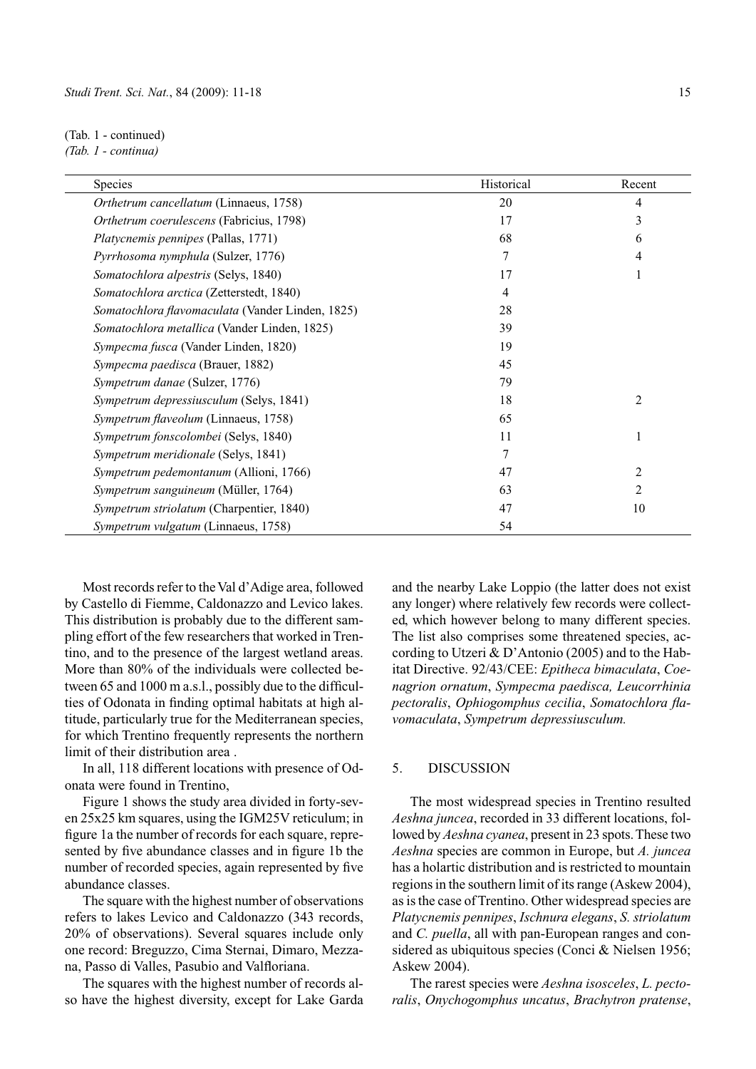(Tab. 1 - continued)

*(Tab. 1 - continua)* 

| <b>Species</b>                                   | Historical | Recent         |
|--------------------------------------------------|------------|----------------|
| Orthetrum cancellatum (Linnaeus, 1758)           | 20         | $\overline{4}$ |
| Orthetrum coerulescens (Fabricius, 1798)         | 17         | 3              |
| Platycnemis pennipes (Pallas, 1771)              | 68         | 6              |
| Pyrrhosoma nymphula (Sulzer, 1776)               | 7          | 4              |
| Somatochlora alpestris (Selys, 1840)             | 17         | 1              |
| Somatochlora arctica (Zetterstedt, 1840)         | 4          |                |
| Somatochlora flavomaculata (Vander Linden, 1825) | 28         |                |
| Somatochlora metallica (Vander Linden, 1825)     | 39         |                |
| Sympecma fusca (Vander Linden, 1820)             | 19         |                |
| Sympecma paedisca (Brauer, 1882)                 | 45         |                |
| Sympetrum danae (Sulzer, 1776)                   | 79         |                |
| Sympetrum depressiusculum (Selys, 1841)          | 18         | $\overline{c}$ |
| Sympetrum flaveolum (Linnaeus, 1758)             | 65         |                |
| Sympetrum fonscolombei (Selys, 1840)             | 11         |                |
| Sympetrum meridionale (Selys, 1841)              | 7          |                |
| Sympetrum pedemontanum (Allioni, 1766)           | 47         | $\overline{2}$ |
| Sympetrum sanguineum (Müller, 1764)              | 63         | 2              |
| Sympetrum striolatum (Charpentier, 1840)         | 47         | 10             |
| Sympetrum vulgatum (Linnaeus, 1758)              | 54         |                |

Most records refer to the Val d'Adige area, followed by Castello di Fiemme, Caldonazzo and Levico lakes. This distribution is probably due to the different sampling effort of the few researchers that worked in Trentino, and to the presence of the largest wetland areas. More than 80% of the individuals were collected between 65 and 1000 m a.s.l., possibly due to the difficulties of Odonata in finding optimal habitats at high altitude, particularly true for the Mediterranean species, for which Trentino frequently represents the northern limit of their distribution area .

In all, 118 different locations with presence of Odonata were found in Trentino,

Figure 1 shows the study area divided in forty-seven 25x25 km squares, using the IGM25V reticulum; in figure 1a the number of records for each square, represented by five abundance classes and in figure 1b the number of recorded species, again represented by five abundance classes.

The square with the highest number of observations refers to lakes Levico and Caldonazzo (343 records, 20% of observations). Several squares include only one record: Breguzzo, Cima Sternai, Dimaro, Mezzana, Passo di Valles, Pasubio and Valfloriana.

The squares with the highest number of records also have the highest diversity, except for Lake Garda

and the nearby Lake Loppio (the latter does not exist any longer) where relatively few records were collected, which however belong to many different species. The list also comprises some threatened species, according to Utzeri & D'Antonio (2005) and to the Habitat Directive. 92/43/CEE: *Epitheca bimaculata*, *Coenagrion ornatum*, *Sympecma paedisca, Leucorrhinia pectoralis*, *Ophiogomphus cecilia*, *Somatochlora flavomaculata*, *Sympetrum depressiusculum.*

### 5. DISCUSSION

The most widespread species in Trentino resulted *Aeshna juncea*, recorded in 33 different locations, followed by *Aeshna cyanea*, present in 23 spots. These two *Aeshna* species are common in Europe, but *A. juncea*  has a holartic distribution and is restricted to mountain regions in the southern limit of its range (Askew 2004), as is the case of Trentino. Other widespread species are *Platycnemis pennipes*, *Ischnura elegans*, *S. striolatum* and *C. puella*, all with pan-European ranges and considered as ubiquitous species (Conci & Nielsen 1956; Askew 2004).

The rarest species were *Aeshna isosceles*, *L. pectoralis*, *Onychogomphus uncatus*, *Brachytron pratense*,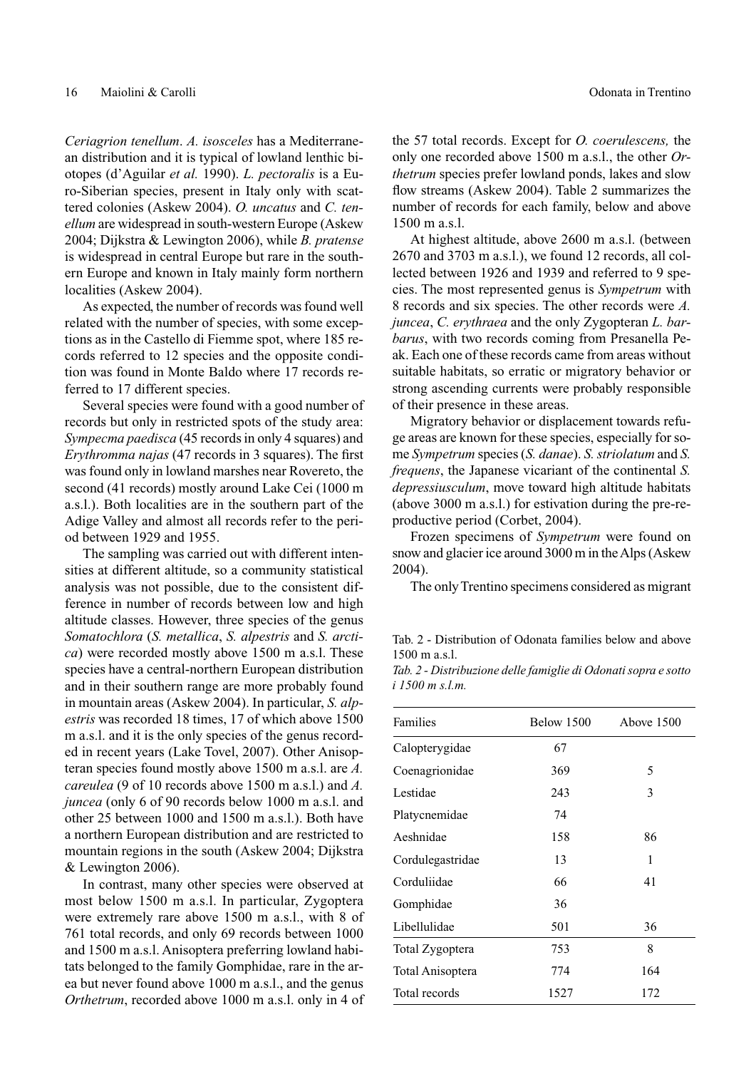*Ceriagrion tenellum*. *A. isosceles* has a Mediterranean distribution and it is typical of lowland lenthic biotopes (d'Aguilar *et al.* 1990). *L. pectoralis* is a Euro-Siberian species, present in Italy only with scattered colonies (Askew 2004). *O. uncatus* and *C. tenellum* are widespread in south-western Europe (Askew 2004; Dijkstra & Lewington 2006), while *B. pratense* is widespread in central Europe but rare in the southern Europe and known in Italy mainly form northern localities (Askew 2004).

As expected, the number of records was found well related with the number of species, with some exceptions as in the Castello di Fiemme spot, where 185 records referred to 12 species and the opposite condition was found in Monte Baldo where 17 records referred to 17 different species.

Several species were found with a good number of records but only in restricted spots of the study area: *Sympecma paedisca* (45 records in only 4 squares) and *Erythromma najas* (47 records in 3 squares). The first was found only in lowland marshes near Rovereto, the second (41 records) mostly around Lake Cei (1000 m a.s.l.). Both localities are in the southern part of the Adige Valley and almost all records refer to the period between 1929 and 1955.

The sampling was carried out with different intensities at different altitude, so a community statistical analysis was not possible, due to the consistent difference in number of records between low and high altitude classes. However, three species of the genus *Somatochlora* (*S. metallica*, *S. alpestris* and *S. arctica*) were recorded mostly above 1500 m a.s.l. These species have a central-northern European distribution and in their southern range are more probably found in mountain areas (Askew 2004). In particular, *S. alpestris* was recorded 18 times, 17 of which above 1500 m a.s.l. and it is the only species of the genus recorded in recent years (Lake Tovel, 2007). Other Anisopteran species found mostly above 1500 m a.s.l. are *A. careulea* (9 of 10 records above 1500 m a.s.l.) and *A. juncea* (only 6 of 90 records below 1000 m a.s.l. and other 25 between 1000 and 1500 m a.s.l.). Both have a northern European distribution and are restricted to mountain regions in the south (Askew 2004; Dijkstra & Lewington 2006).

In contrast, many other species were observed at most below 1500 m a.s.l. In particular, Zygoptera were extremely rare above 1500 m a.s.l., with 8 of 761 total records, and only 69 records between 1000 and 1500 m a.s.l. Anisoptera preferring lowland habitats belonged to the family Gomphidae, rare in the area but never found above 1000 m a.s.l., and the genus *Orthetrum*, recorded above 1000 m a.s.l. only in 4 of the 57 total records. Except for *O. coerulescens,* the only one recorded above 1500 m a.s.l., the other *Orthetrum* species prefer lowland ponds, lakes and slow flow streams (Askew 2004). Table 2 summarizes the number of records for each family, below and above 1500 m a.s.l.

At highest altitude, above 2600 m a.s.l. (between 2670 and 3703 m a.s.l.), we found 12 records, all collected between 1926 and 1939 and referred to 9 species. The most represented genus is *Sympetrum* with 8 records and six species. The other records were *A. juncea*, *C. erythraea* and the only Zygopteran *L. barbarus*, with two records coming from Presanella Peak. Each one of these records came from areas without suitable habitats, so erratic or migratory behavior or strong ascending currents were probably responsible of their presence in these areas.

Migratory behavior or displacement towards refuge areas are known for these species, especially for some *Sympetrum* species (*S. danae*). *S. striolatum* and *S. frequens*, the Japanese vicariant of the continental *S. depressiusculum*, move toward high altitude habitats (above 3000 m a.s.l.) for estivation during the pre-reproductive period (Corbet, 2004).

Frozen specimens of *Sympetrum* were found on snow and glacier ice around 3000 m in the Alps (Askew 2004).

The only Trentino specimens considered as migrant

Tab. 2 - Distribution of Odonata families below and above 1500 m a.s.l.

*Tab. 2 - Distribuzione delle famiglie di Odonati sopra e sotto i 1500 m s.l.m.*

| Families         | Below 1500 | Above 1500 |
|------------------|------------|------------|
| Calopterygidae   | 67         |            |
| Coenagrionidae   | 369        | 5          |
| Lestidae         | 243        | 3          |
| Platycnemidae    | 74         |            |
| Aeshnidae        | 158        | 86         |
| Cordulegastridae | 13         | 1          |
| Corduliidae      | 66         | 41         |
| Gomphidae        | 36         |            |
| Libellulidae     | 501        | 36         |
| Total Zygoptera  | 753        | 8          |
| Total Anisoptera | 774        | 164        |
| Total records    | 1527       | 172        |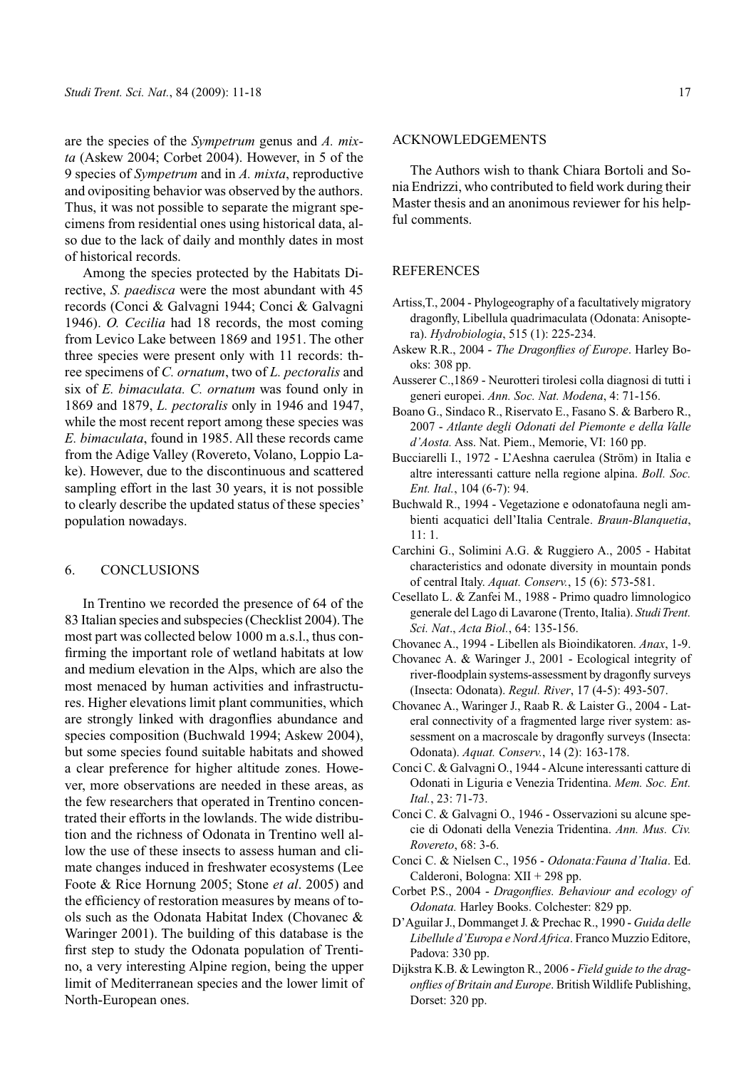are the species of the *Sympetrum* genus and *A. mixta* (Askew 2004; Corbet 2004). However, in 5 of the 9 species of *Sympetrum* and in *A. mixta*, reproductive and ovipositing behavior was observed by the authors. Thus, it was not possible to separate the migrant specimens from residential ones using historical data, also due to the lack of daily and monthly dates in most of historical records.

Among the species protected by the Habitats Directive, *S. paedisca* were the most abundant with 45 records (Conci & Galvagni 1944; Conci & Galvagni 1946). *O. Cecilia* had 18 records, the most coming from Levico Lake between 1869 and 1951. The other three species were present only with 11 records: three specimens of *C. ornatum*, two of *L. pectoralis* and six of *E. bimaculata. C. ornatum* was found only in 1869 and 1879, *L. pectoralis* only in 1946 and 1947, while the most recent report among these species was *E. bimaculata*, found in 1985. All these records came from the Adige Valley (Rovereto, Volano, Loppio Lake). However, due to the discontinuous and scattered sampling effort in the last 30 years, it is not possible to clearly describe the updated status of these species' population nowadays.

#### 6. CONCLUSIONS

In Trentino we recorded the presence of 64 of the 83 Italian species and subspecies (Checklist 2004). The most part was collected below 1000 m a.s.l., thus confirming the important role of wetland habitats at low and medium elevation in the Alps, which are also the most menaced by human activities and infrastructures. Higher elevations limit plant communities, which are strongly linked with dragonflies abundance and species composition (Buchwald 1994; Askew 2004), but some species found suitable habitats and showed a clear preference for higher altitude zones. However, more observations are needed in these areas, as the few researchers that operated in Trentino concentrated their efforts in the lowlands. The wide distribution and the richness of Odonata in Trentino well allow the use of these insects to assess human and climate changes induced in freshwater ecosystems (Lee Foote & Rice Hornung 2005; Stone *et al*. 2005) and the efficiency of restoration measures by means of tools such as the Odonata Habitat Index (Chovanec & Waringer 2001). The building of this database is the first step to study the Odonata population of Trentino, a very interesting Alpine region, being the upper limit of Mediterranean species and the lower limit of North-European ones.

#### ACKNOWLEDGEMENTS

The Authors wish to thank Chiara Bortoli and Sonia Endrizzi, who contributed to field work during their Master thesis and an anonimous reviewer for his helpful comments.

# REFERENCES

- Artiss,T., 2004 Phylogeography of a facultatively migratory dragonfly, Libellula quadrimaculata (Odonata: Anisoptera). *Hydrobiologia*, 515 (1): 225-234.
- Askew R.R., 2004 *The Dragonflies of Europe*. Harley Books: 308 pp.
- Ausserer C.,1869 Neurotteri tirolesi colla diagnosi di tutti i generi europei. *Ann. Soc. Nat. Modena*, 4: 71-156.
- Boano G., Sindaco R., Riservato E., Fasano S. & Barbero R., 2007 - *Atlante degli Odonati del Piemonte e della Valle d'Aosta.* Ass. Nat. Piem., Memorie, VI: 160 pp.
- Bucciarelli I., 1972 L'Aeshna caerulea (Ström) in Italia e altre interessanti catture nella regione alpina. *Boll. Soc. Ent. Ital.*, 104 (6-7): 94.
- Buchwald R., 1994 Vegetazione e odonatofauna negli ambienti acquatici dell'Italia Centrale. *Braun-Blanquetia*, 11: 1.
- Carchini G., Solimini A.G. & Ruggiero A., 2005 Habitat characteristics and odonate diversity in mountain ponds of central Italy. *Aquat. Conserv.*, 15 (6): 573-581.
- Cesellato L. & Zanfei M., 1988 Primo quadro limnologico generale del Lago di Lavarone (Trento, Italia). *Studi Trent. Sci. Nat*., *Acta Biol.*, 64: 135-156.
- Chovanec A., 1994 Libellen als Bioindikatoren. *Anax*, 1-9.
- Chovanec A. & Waringer J., 2001 Ecological integrity of river-floodplain systems-assessment by dragonfly surveys (Insecta: Odonata). *Regul. River*, 17 (4-5): 493-507.
- Chovanec A., Waringer J., Raab R. & Laister G., 2004 Lateral connectivity of a fragmented large river system: assessment on a macroscale by dragonfly surveys (Insecta: Odonata). *Aquat. Conserv.*, 14 (2): 163-178.
- Conci C. & Galvagni O., 1944 Alcune interessanti catture di Odonati in Liguria e Venezia Tridentina. *Mem. Soc. Ent. Ital.*, 23: 71-73.
- Conci C. & Galvagni O., 1946 Osservazioni su alcune specie di Odonati della Venezia Tridentina. *Ann. Mus. Civ. Rovereto*, 68: 3-6.
- Conci C. & Nielsen C., 1956 *Odonata:Fauna d'Italia*. Ed. Calderoni, Bologna: XII + 298 pp.
- Corbet P.S., 2004 *Dragonflies. Behaviour and ecology of Odonata.* Harley Books. Colchester: 829 pp.
- D'Aguilar J., Dommanget J. & Prechac R., 1990 *Guida delle Libellule d'Europa e Nord Africa*. Franco Muzzio Editore, Padova: 330 pp.
- Dijkstra K.B. & Lewington R., 2006 *Field guide to the dragonflies of Britain and Europe*. British Wildlife Publishing, Dorset: 320 pp.